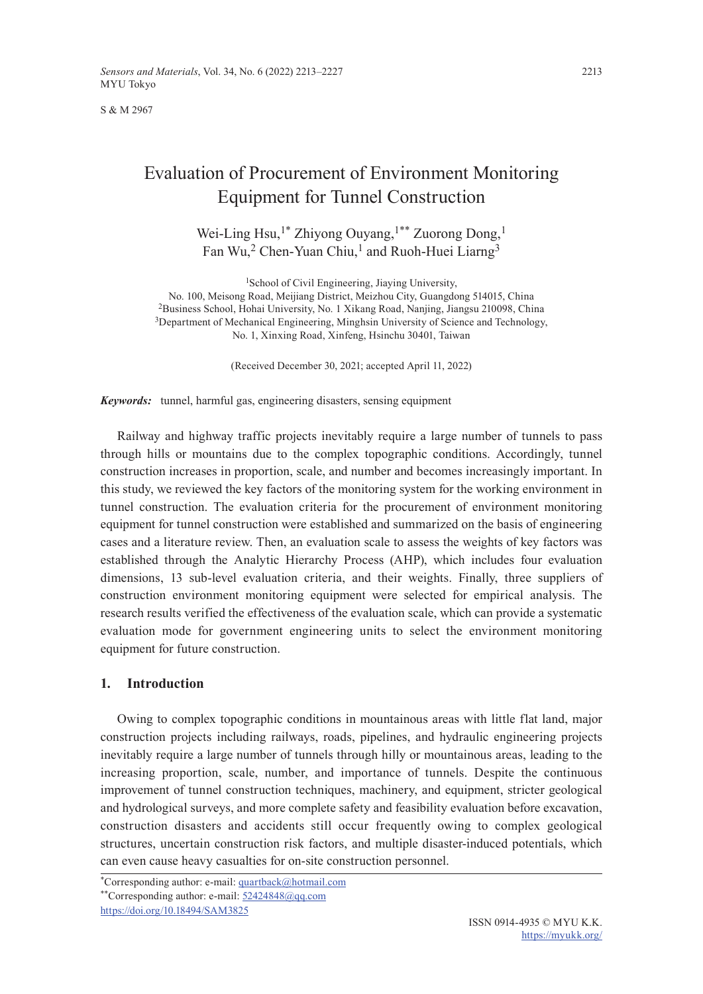S & M 2967

# Evaluation of Procurement of Environment Monitoring Equipment for Tunnel Construction

Wei-Ling Hsu,<sup>1\*</sup> Zhiyong Ouyang,<sup>1\*\*</sup> Zuorong Dong,<sup>1</sup> Fan Wu,<sup>2</sup> Chen-Yuan Chiu,<sup>1</sup> and Ruoh-Huei Liarng<sup>3</sup>

<sup>1</sup>School of Civil Engineering, Jiaying University, No. 100, Meisong Road, Meijiang District, Meizhou City, Guangdong 514015, China 2Business School, Hohai University, No. 1 Xikang Road, Nanjing, Jiangsu 210098, China <sup>3</sup>Department of Mechanical Engineering, Minghsin University of Science and Technology, No. 1, Xinxing Road, Xinfeng, Hsinchu 30401, Taiwan

(Received December 30, 2021; accepted April 11, 2022)

*Keywords:* tunnel, harmful gas, engineering disasters, sensing equipment

Railway and highway traffic projects inevitably require a large number of tunnels to pass through hills or mountains due to the complex topographic conditions. Accordingly, tunnel construction increases in proportion, scale, and number and becomes increasingly important. In this study, we reviewed the key factors of the monitoring system for the working environment in tunnel construction. The evaluation criteria for the procurement of environment monitoring equipment for tunnel construction were established and summarized on the basis of engineering cases and a literature review. Then, an evaluation scale to assess the weights of key factors was established through the Analytic Hierarchy Process (AHP), which includes four evaluation dimensions, 13 sub-level evaluation criteria, and their weights. Finally, three suppliers of construction environment monitoring equipment were selected for empirical analysis. The research results verified the effectiveness of the evaluation scale, which can provide a systematic evaluation mode for government engineering units to select the environment monitoring equipment for future construction.

# **1. Introduction**

Owing to complex topographic conditions in mountainous areas with little flat land, major construction projects including railways, roads, pipelines, and hydraulic engineering projects inevitably require a large number of tunnels through hilly or mountainous areas, leading to the increasing proportion, scale, number, and importance of tunnels. Despite the continuous improvement of tunnel construction techniques, machinery, and equipment, stricter geological and hydrological surveys, and more complete safety and feasibility evaluation before excavation, construction disasters and accidents still occur frequently owing to complex geological structures, uncertain construction risk factors, and multiple disaster-induced potentials, which can even cause heavy casualties for on-site construction personnel.

<sup>\*</sup>Corresponding author: e-mail: [quartback@hotmail.com](mailto:quartback@hotmail.com)

<sup>\*\*</sup>Corresponding author: e-mail: [52424848@qq.com](mailto:52424848@qq.com)

<https://doi.org/10.18494/SAM3825>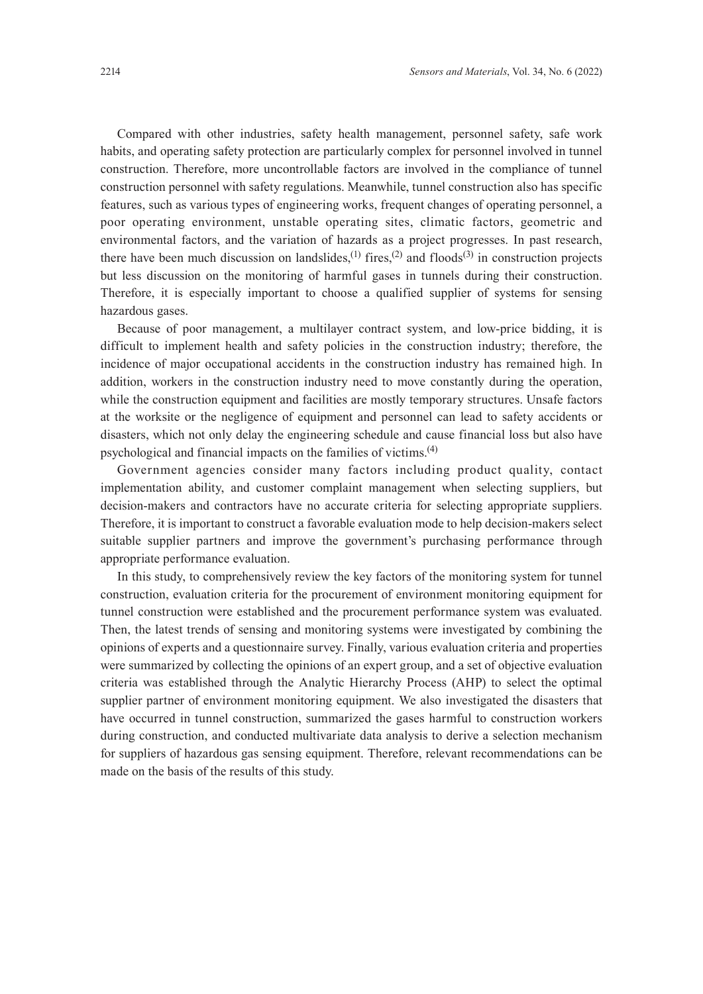Compared with other industries, safety health management, personnel safety, safe work habits, and operating safety protection are particularly complex for personnel involved in tunnel construction. Therefore, more uncontrollable factors are involved in the compliance of tunnel construction personnel with safety regulations. Meanwhile, tunnel construction also has specific features, such as various types of engineering works, frequent changes of operating personnel, a poor operating environment, unstable operating sites, climatic factors, geometric and environmental factors, and the variation of hazards as a project progresses. In past research, there have been much discussion on landslides,<sup>(1)</sup> fires,<sup>(2)</sup> and floods<sup>(3)</sup> in construction projects but less discussion on the monitoring of harmful gases in tunnels during their construction. Therefore, it is especially important to choose a qualified supplier of systems for sensing hazardous gases.

Because of poor management, a multilayer contract system, and low-price bidding, it is difficult to implement health and safety policies in the construction industry; therefore, the incidence of major occupational accidents in the construction industry has remained high. In addition, workers in the construction industry need to move constantly during the operation, while the construction equipment and facilities are mostly temporary structures. Unsafe factors at the worksite or the negligence of equipment and personnel can lead to safety accidents or disasters, which not only delay the engineering schedule and cause financial loss but also have psychological and financial impacts on the families of victims.(4)

Government agencies consider many factors including product quality, contact implementation ability, and customer complaint management when selecting suppliers, but decision-makers and contractors have no accurate criteria for selecting appropriate suppliers. Therefore, it is important to construct a favorable evaluation mode to help decision-makers select suitable supplier partners and improve the government's purchasing performance through appropriate performance evaluation.

In this study, to comprehensively review the key factors of the monitoring system for tunnel construction, evaluation criteria for the procurement of environment monitoring equipment for tunnel construction were established and the procurement performance system was evaluated. Then, the latest trends of sensing and monitoring systems were investigated by combining the opinions of experts and a questionnaire survey. Finally, various evaluation criteria and properties were summarized by collecting the opinions of an expert group, and a set of objective evaluation criteria was established through the Analytic Hierarchy Process (AHP) to select the optimal supplier partner of environment monitoring equipment. We also investigated the disasters that have occurred in tunnel construction, summarized the gases harmful to construction workers during construction, and conducted multivariate data analysis to derive a selection mechanism for suppliers of hazardous gas sensing equipment. Therefore, relevant recommendations can be made on the basis of the results of this study.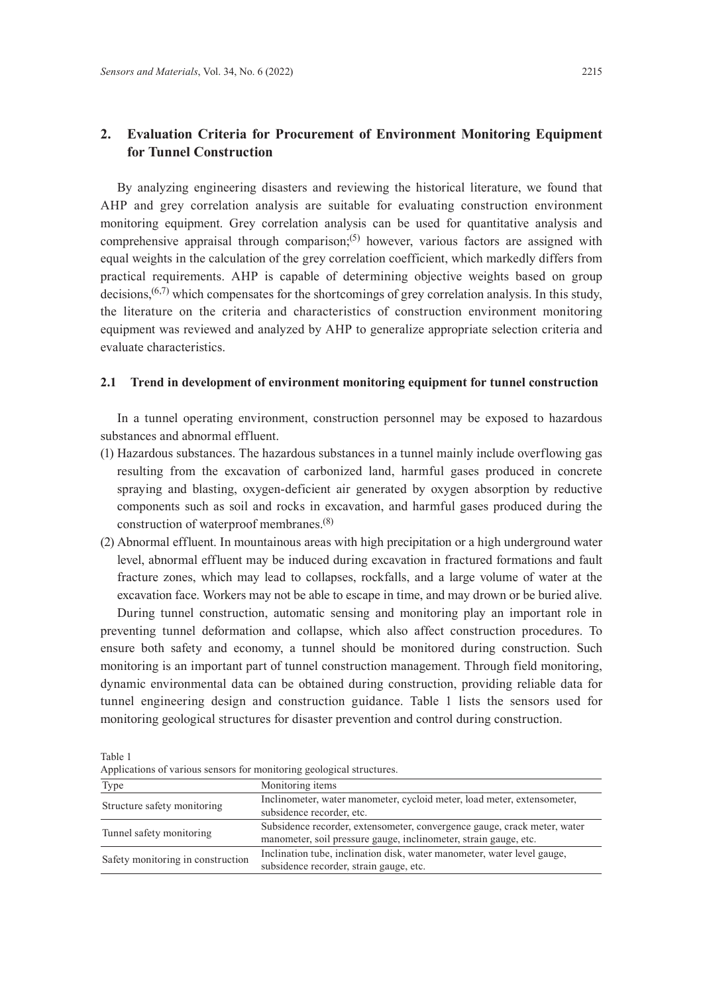# **2. Evaluation Criteria for Procurement of Environment Monitoring Equipment for Tunnel Construction**

By analyzing engineering disasters and reviewing the historical literature, we found that AHP and grey correlation analysis are suitable for evaluating construction environment monitoring equipment. Grey correlation analysis can be used for quantitative analysis and comprehensive appraisal through comparison;<sup>(5)</sup> however, various factors are assigned with equal weights in the calculation of the grey correlation coefficient, which markedly differs from practical requirements. AHP is capable of determining objective weights based on group decisions,<sup> $(6,7)$ </sup> which compensates for the shortcomings of grey correlation analysis. In this study, the literature on the criteria and characteristics of construction environment monitoring equipment was reviewed and analyzed by AHP to generalize appropriate selection criteria and evaluate characteristics.

### **2.1 Trend in development of environment monitoring equipment for tunnel construction**

In a tunnel operating environment, construction personnel may be exposed to hazardous substances and abnormal effluent.

- (1) Hazardous substances. The hazardous substances in a tunnel mainly include overflowing gas resulting from the excavation of carbonized land, harmful gases produced in concrete spraying and blasting, oxygen-deficient air generated by oxygen absorption by reductive components such as soil and rocks in excavation, and harmful gases produced during the construction of waterproof membranes.(8)
- (2) Abnormal effluent. In mountainous areas with high precipitation or a high underground water level, abnormal effluent may be induced during excavation in fractured formations and fault fracture zones, which may lead to collapses, rockfalls, and a large volume of water at the excavation face. Workers may not be able to escape in time, and may drown or be buried alive.

During tunnel construction, automatic sensing and monitoring play an important role in preventing tunnel deformation and collapse, which also affect construction procedures. To ensure both safety and economy, a tunnel should be monitored during construction. Such monitoring is an important part of tunnel construction management. Through field monitoring, dynamic environmental data can be obtained during construction, providing reliable data for tunnel engineering design and construction guidance. Table 1 lists the sensors used for monitoring geological structures for disaster prevention and control during construction.

| Applications of various sensors for monitoring geological structures. |                                                                          |
|-----------------------------------------------------------------------|--------------------------------------------------------------------------|
| Type                                                                  | Monitoring items                                                         |
| Structure safety monitoring                                           | Inclinometer, water manometer, cycloid meter, load meter, extensometer,  |
|                                                                       | subsidence recorder, etc.                                                |
| Tunnel safety monitoring                                              | Subsidence recorder, extensometer, convergence gauge, crack meter, water |
|                                                                       | manometer, soil pressure gauge, inclinometer, strain gauge, etc.         |
| Safety monitoring in construction                                     | Inclination tube, inclination disk, water manometer, water level gauge,  |
|                                                                       | subsidence recorder, strain gauge, etc.                                  |

Applications of various sensors for monitoring geological structures.

Table 1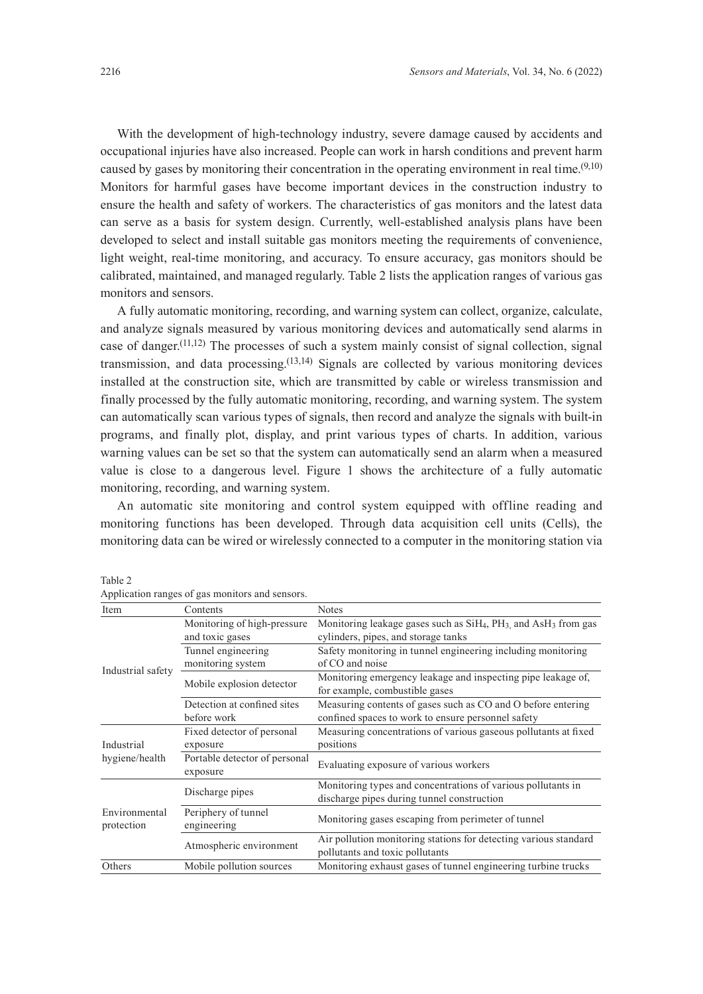With the development of high-technology industry, severe damage caused by accidents and occupational injuries have also increased. People can work in harsh conditions and prevent harm caused by gases by monitoring their concentration in the operating environment in real time.  $(9,10)$ Monitors for harmful gases have become important devices in the construction industry to ensure the health and safety of workers. The characteristics of gas monitors and the latest data can serve as a basis for system design. Currently, well-established analysis plans have been developed to select and install suitable gas monitors meeting the requirements of convenience, light weight, real-time monitoring, and accuracy. To ensure accuracy, gas monitors should be calibrated, maintained, and managed regularly. Table 2 lists the application ranges of various gas monitors and sensors.

A fully automatic monitoring, recording, and warning system can collect, organize, calculate, and analyze signals measured by various monitoring devices and automatically send alarms in case of danger.<sup> $(11,12)$ </sup> The processes of such a system mainly consist of signal collection, signal transmission, and data processing.<sup> $(13,14)$ </sup> Signals are collected by various monitoring devices installed at the construction site, which are transmitted by cable or wireless transmission and finally processed by the fully automatic monitoring, recording, and warning system. The system can automatically scan various types of signals, then record and analyze the signals with built-in programs, and finally plot, display, and print various types of charts. In addition, various warning values can be set so that the system can automatically send an alarm when a measured value is close to a dangerous level. Figure 1 shows the architecture of a fully automatic monitoring, recording, and warning system.

An automatic site monitoring and control system equipped with offline reading and monitoring functions has been developed. Through data acquisition cell units (Cells), the monitoring data can be wired or wirelessly connected to a computer in the monitoring station via

| . .                          |                                           |                                                                                                     |  |  |
|------------------------------|-------------------------------------------|-----------------------------------------------------------------------------------------------------|--|--|
| Item                         | Contents                                  | <b>Notes</b>                                                                                        |  |  |
|                              | Monitoring of high-pressure               | Monitoring leakage gases such as SiH <sub>4</sub> , PH <sub>3</sub> and AsH <sub>3</sub> from gas   |  |  |
| Industrial safety            | and toxic gases                           | cylinders, pipes, and storage tanks                                                                 |  |  |
|                              | Tunnel engineering                        | Safety monitoring in tunnel engineering including monitoring                                        |  |  |
|                              | monitoring system                         | of CO and noise                                                                                     |  |  |
|                              | Mobile explosion detector                 | Monitoring emergency leakage and inspecting pipe leakage of,<br>for example, combustible gases      |  |  |
|                              | Detection at confined sites               | Measuring contents of gases such as CO and O before entering                                        |  |  |
|                              | before work                               | confined spaces to work to ensure personnel safety                                                  |  |  |
|                              | Fixed detector of personal                | Measuring concentrations of various gaseous pollutants at fixed                                     |  |  |
| Industrial<br>hygiene/health | exposure                                  | positions                                                                                           |  |  |
|                              | Portable detector of personal<br>exposure | Evaluating exposure of various workers                                                              |  |  |
|                              | Discharge pipes                           | Monitoring types and concentrations of various pollutants in                                        |  |  |
| Environmental<br>protection  |                                           | discharge pipes during tunnel construction                                                          |  |  |
|                              | Periphery of tunnel<br>engineering        | Monitoring gases escaping from perimeter of tunnel                                                  |  |  |
|                              | Atmospheric environment                   | Air pollution monitoring stations for detecting various standard<br>pollutants and toxic pollutants |  |  |
| Others                       | Mobile pollution sources                  | Monitoring exhaust gases of tunnel engineering turbine trucks                                       |  |  |
|                              |                                           |                                                                                                     |  |  |

Table 2 Application ranges of gas monitors and sensors.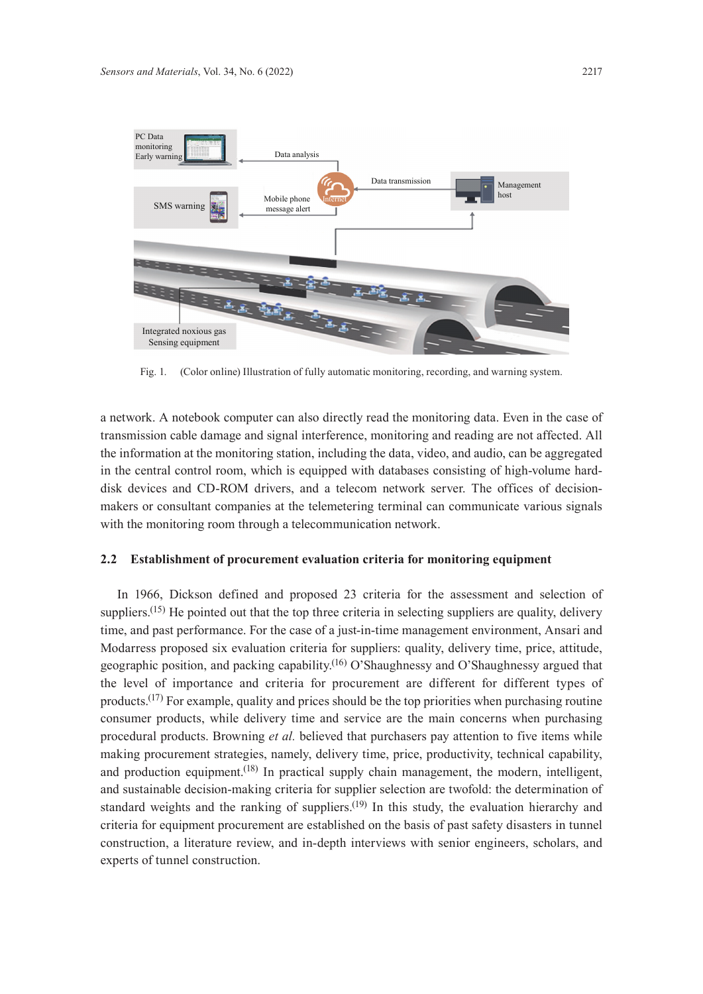

Fig. 1. (Color online) Illustration of fully automatic monitoring, recording, and warning system.

a network. A notebook computer can also directly read the monitoring data. Even in the case of transmission cable damage and signal interference, monitoring and reading are not affected. All the information at the monitoring station, including the data, video, and audio, can be aggregated in the central control room, which is equipped with databases consisting of high-volume harddisk devices and CD-ROM drivers, and a telecom network server. The offices of decisionmakers or consultant companies at the telemetering terminal can communicate various signals with the monitoring room through a telecommunication network.

### **2.2 Establishment of procurement evaluation criteria for monitoring equipment**

In 1966, Dickson defined and proposed 23 criteria for the assessment and selection of suppliers.<sup>(15)</sup> He pointed out that the top three criteria in selecting suppliers are quality, delivery time, and past performance. For the case of a just-in-time management environment, Ansari and Modarress proposed six evaluation criteria for suppliers: quality, delivery time, price, attitude, geographic position, and packing capability.<sup>(16)</sup> O'Shaughnessy and O'Shaughnessy argued that the level of importance and criteria for procurement are different for different types of products.<sup> $(17)$ </sup> For example, quality and prices should be the top priorities when purchasing routine consumer products, while delivery time and service are the main concerns when purchasing procedural products. Browning *et al.* believed that purchasers pay attention to five items while making procurement strategies, namely, delivery time, price, productivity, technical capability, and production equipment.<sup>(18)</sup> In practical supply chain management, the modern, intelligent, and sustainable decision-making criteria for supplier selection are twofold: the determination of standard weights and the ranking of suppliers.<sup> $(19)$ </sup> In this study, the evaluation hierarchy and criteria for equipment procurement are established on the basis of past safety disasters in tunnel construction, a literature review, and in-depth interviews with senior engineers, scholars, and experts of tunnel construction.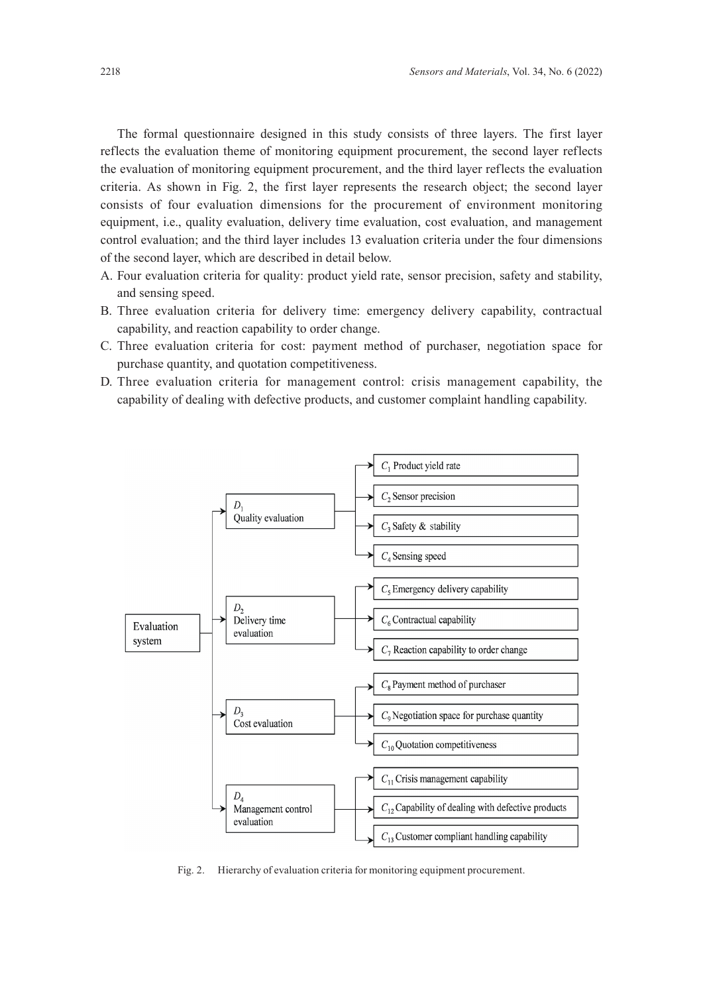The formal questionnaire designed in this study consists of three layers. The first layer reflects the evaluation theme of monitoring equipment procurement, the second layer reflects the evaluation of monitoring equipment procurement, and the third layer reflects the evaluation criteria. As shown in Fig. 2, the first layer represents the research object; the second layer consists of four evaluation dimensions for the procurement of environment monitoring equipment, i.e., quality evaluation, delivery time evaluation, cost evaluation, and management control evaluation; and the third layer includes 13 evaluation criteria under the four dimensions of the second layer, which are described in detail below.

- A. Four evaluation criteria for quality: product yield rate, sensor precision, safety and stability, and sensing speed.
- B. Three evaluation criteria for delivery time: emergency delivery capability, contractual capability, and reaction capability to order change.
- C. Three evaluation criteria for cost: payment method of purchaser, negotiation space for purchase quantity, and quotation competitiveness.
- D. Three evaluation criteria for management control: crisis management capability, the capability of dealing with defective products, and customer complaint handling capability.



Fig. 2. Hierarchy of evaluation criteria for monitoring equipment procurement.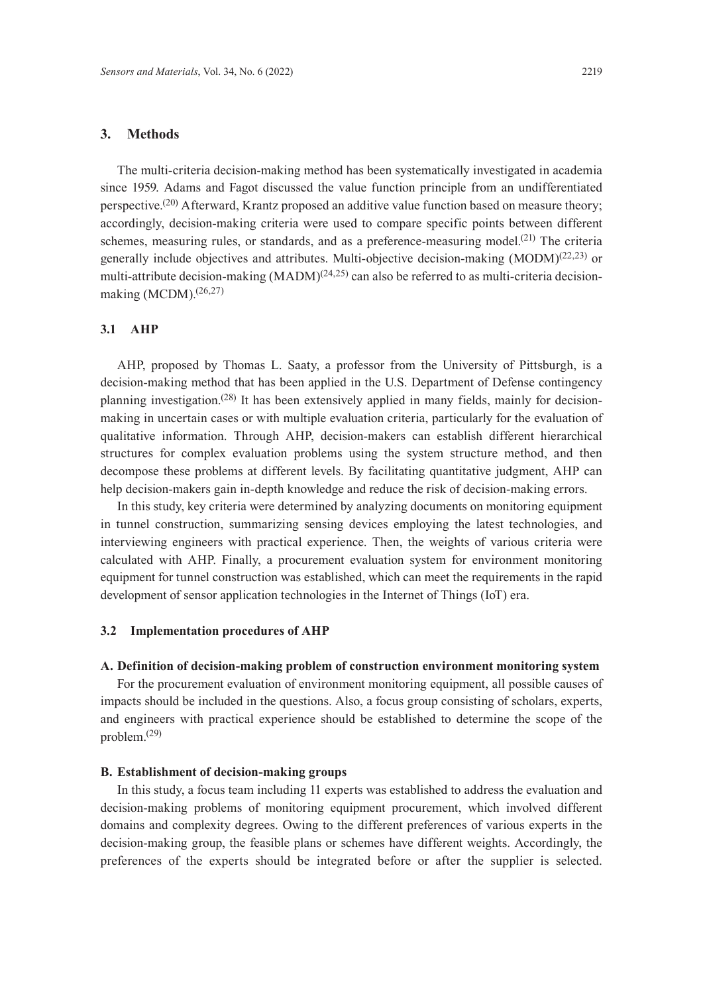### **3. Methods**

The multi-criteria decision-making method has been systematically investigated in academia since 1959. Adams and Fagot discussed the value function principle from an undifferentiated perspective.<sup>(20)</sup> Afterward, Krantz proposed an additive value function based on measure theory; accordingly, decision-making criteria were used to compare specific points between different schemes, measuring rules, or standards, and as a preference-measuring model.<sup>(21)</sup> The criteria generally include objectives and attributes. Multi-objective decision-making  $(MODM)^{(22,23)}$  or multi-attribute decision-making  $(MADM)^{(24,25)}$  can also be referred to as multi-criteria decisionmaking (MCDM).(26,27)

#### **3.1 AHP**

AHP, proposed by Thomas L. Saaty, a professor from the University of Pittsburgh, is a decision-making method that has been applied in the U.S. Department of Defense contingency planning investigation.(28) It has been extensively applied in many fields, mainly for decisionmaking in uncertain cases or with multiple evaluation criteria, particularly for the evaluation of qualitative information. Through AHP, decision-makers can establish different hierarchical structures for complex evaluation problems using the system structure method, and then decompose these problems at different levels. By facilitating quantitative judgment, AHP can help decision-makers gain in-depth knowledge and reduce the risk of decision-making errors.

In this study, key criteria were determined by analyzing documents on monitoring equipment in tunnel construction, summarizing sensing devices employing the latest technologies, and interviewing engineers with practical experience. Then, the weights of various criteria were calculated with AHP. Finally, a procurement evaluation system for environment monitoring equipment for tunnel construction was established, which can meet the requirements in the rapid development of sensor application technologies in the Internet of Things (IoT) era.

# **3.2 Implementation procedures of AHP**

#### **A. Definition of decision-making problem of construction environment monitoring system**

For the procurement evaluation of environment monitoring equipment, all possible causes of impacts should be included in the questions. Also, a focus group consisting of scholars, experts, and engineers with practical experience should be established to determine the scope of the problem.(29)

#### **B. Establishment of decision-making groups**

In this study, a focus team including 11 experts was established to address the evaluation and decision-making problems of monitoring equipment procurement, which involved different domains and complexity degrees. Owing to the different preferences of various experts in the decision-making group, the feasible plans or schemes have different weights. Accordingly, the preferences of the experts should be integrated before or after the supplier is selected.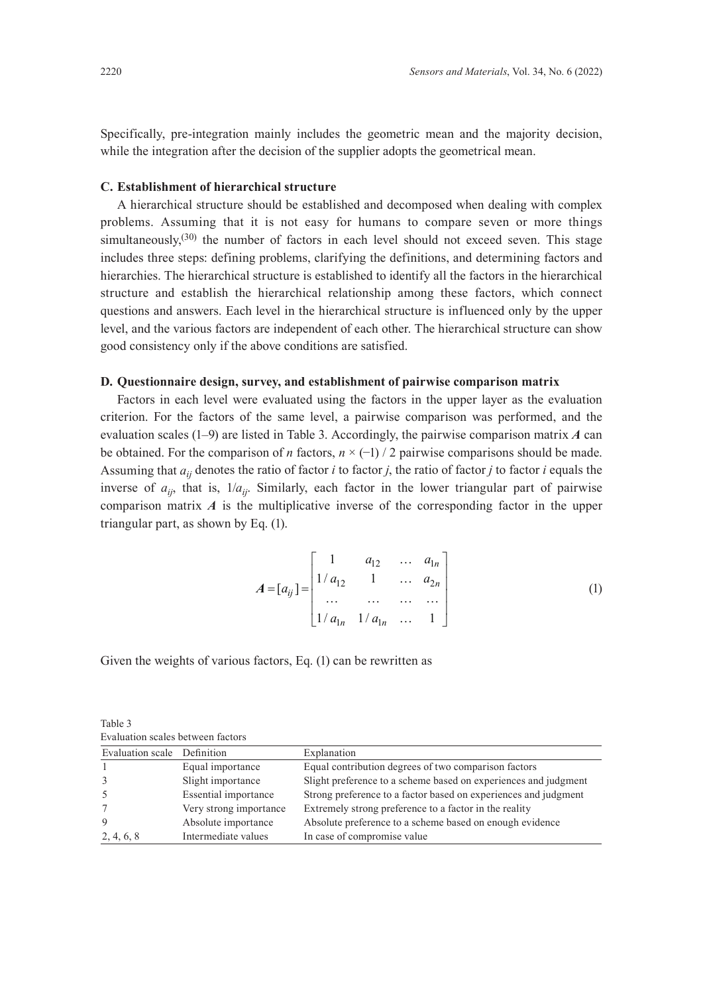Specifically, pre-integration mainly includes the geometric mean and the majority decision, while the integration after the decision of the supplier adopts the geometrical mean.

# **C. Establishment of hierarchical structure**

A hierarchical structure should be established and decomposed when dealing with complex problems. Assuming that it is not easy for humans to compare seven or more things simultaneously,<sup> $(30)$ </sup> the number of factors in each level should not exceed seven. This stage includes three steps: defining problems, clarifying the definitions, and determining factors and hierarchies. The hierarchical structure is established to identify all the factors in the hierarchical structure and establish the hierarchical relationship among these factors, which connect questions and answers. Each level in the hierarchical structure is influenced only by the upper level, and the various factors are independent of each other. The hierarchical structure can show good consistency only if the above conditions are satisfied.

# **D. Questionnaire design, survey, and establishment of pairwise comparison matrix**

Factors in each level were evaluated using the factors in the upper layer as the evaluation criterion. For the factors of the same level, a pairwise comparison was performed, and the evaluation scales (1–9) are listed in Table 3. Accordingly, the pairwise comparison matrix *A* can be obtained. For the comparison of *n* factors, *n* × (−1) / 2 pairwise comparisons should be made. Assuming that *aij* denotes the ratio of factor *i* to factor *j*, the ratio of factor *j* to factor *i* equals the inverse of  $a_{ij}$ , that is,  $1/a_{ij}$ . Similarly, each factor in the lower triangular part of pairwise comparison matrix *A* is the multiplicative inverse of the corresponding factor in the upper triangular part, as shown by Eq. (1).

$$
A = [a_{ij}] = \begin{bmatrix} 1 & a_{12} & \dots & a_{1n} \\ 1/a_{12} & 1 & \dots & a_{2n} \\ \dots & \dots & \dots & \dots \\ 1/a_{1n} & 1/a_{1n} & \dots & 1 \end{bmatrix}
$$
 (1)

Given the weights of various factors, Eq. (1) can be rewritten as

Table 3 Evaluation scales between factors

| Evaluation scale Definition |                        | Explanation                                                     |
|-----------------------------|------------------------|-----------------------------------------------------------------|
|                             | Equal importance       | Equal contribution degrees of two comparison factors            |
| $\mathcal{R}$               | Slight importance      | Slight preference to a scheme based on experiences and judgment |
| -5                          | Essential importance   | Strong preference to a factor based on experiences and judgment |
|                             | Very strong importance | Extremely strong preference to a factor in the reality          |
| 9                           | Absolute importance    | Absolute preference to a scheme based on enough evidence        |
| 2, 4, 6, 8                  | Intermediate values    | In case of compromise value                                     |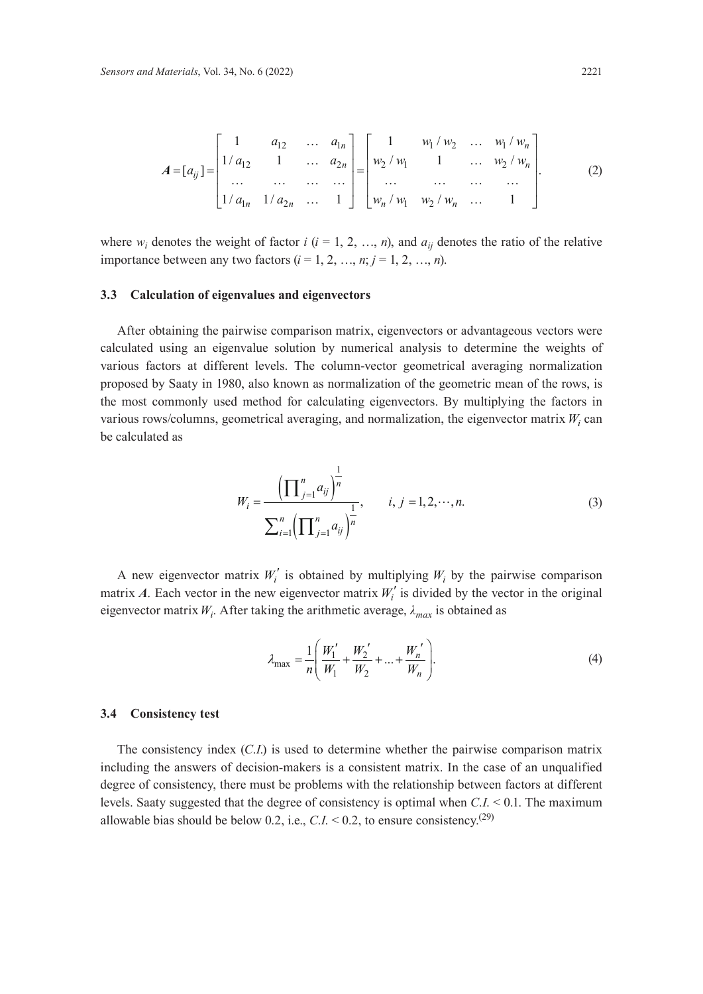$$
A = [a_{ij}] = \begin{bmatrix} 1 & a_{12} & \dots & a_{1n} \\ 1/a_{12} & 1 & \dots & a_{2n} \\ \dots & \dots & \dots & \dots \\ 1/a_{1n} & 1/a_{2n} & \dots & 1 \end{bmatrix} = \begin{bmatrix} 1 & w_1/w_2 & \dots & w_1/w_n \\ w_2/w_1 & 1 & \dots & w_2/w_n \\ \dots & \dots & \dots & \dots \\ w_n/w_1 & w_2/w_n & \dots & 1 \end{bmatrix} .
$$
 (2)

where  $w_i$  denotes the weight of factor  $i$  ( $i = 1, 2, ..., n$ ), and  $a_{ij}$  denotes the ratio of the relative importance between any two factors  $(i = 1, 2, ..., n; j = 1, 2, ..., n)$ .

#### **3.3 Calculation of eigenvalues and eigenvectors**

After obtaining the pairwise comparison matrix, eigenvectors or advantageous vectors were calculated using an eigenvalue solution by numerical analysis to determine the weights of various factors at different levels. The column-vector geometrical averaging normalization proposed by Saaty in 1980, also known as normalization of the geometric mean of the rows, is the most commonly used method for calculating eigenvectors. By multiplying the factors in various rows/columns, geometrical averaging, and normalization, the eigenvector matrix  $W_i$  can be calculated as

$$
W_{i} = \frac{\left(\prod_{j=1}^{n} a_{ij}\right)^{\frac{1}{n}}}{\sum_{i=1}^{n} \left(\prod_{j=1}^{n} a_{ij}\right)^{\frac{1}{n}}}, \qquad i, j = 1, 2, \cdots, n. \tag{3}
$$

A new eigenvector matrix  $W_i'$  is obtained by multiplying  $W_i$  by the pairwise comparison matrix *A*. Each vector in the new eigenvector matrix  $W_i'$  is divided by the vector in the original eigenvector matrix *Wi* . After taking the arithmetic average, *λmax* is obtained as

$$
\lambda_{\max} = \frac{1}{n} \left( \frac{W_1'}{W_1} + \frac{W_2'}{W_2} + \dots + \frac{W_n'}{W_n} \right). \tag{4}
$$

#### **3.4 Consistency test**

The consistency index (*C*.*I*.) is used to determine whether the pairwise comparison matrix including the answers of decision-makers is a consistent matrix. In the case of an unqualified degree of consistency, there must be problems with the relationship between factors at different levels. Saaty suggested that the degree of consistency is optimal when *C*.*I*. < 0.1. The maximum allowable bias should be below 0.2, i.e.,  $C.I. \leq 0.2$ , to ensure consistency.<sup>(29)</sup>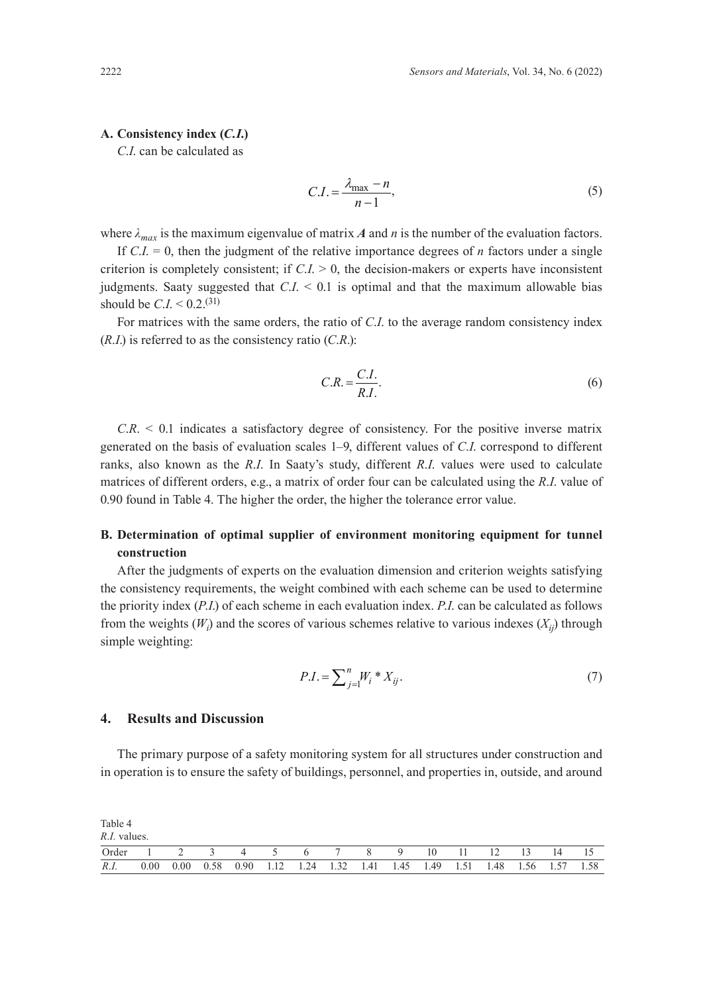#### **A. Consistency index (***C.I.***)**

*C*.*I*. can be calculated as

$$
C.I. = \frac{\lambda_{\text{max}} - n}{n - 1},\tag{5}
$$

where  $\lambda_{max}$  is the maximum eigenvalue of matrix *A* and *n* is the number of the evaluation factors.

If  $C.I. = 0$ , then the judgment of the relative importance degrees of *n* factors under a single criterion is completely consistent; if  $C.I. > 0$ , the decision-makers or experts have inconsistent judgments. Saaty suggested that *C*.*I*. < 0.1 is optimal and that the maximum allowable bias should be *C.I.* <  $0.2$ .<sup>(31)</sup>

For matrices with the same orders, the ratio of *C*.*I*. to the average random consistency index (*R*.*I*.) is referred to as the consistency ratio (*C*.*R*.):

$$
C.R. = \frac{C.I.}{R.I.}.\tag{6}
$$

*C*.*R*. < 0.1 indicates a satisfactory degree of consistency. For the positive inverse matrix generated on the basis of evaluation scales 1–9, different values of *C*.*I*. correspond to different ranks, also known as the *R*.*I*. In Saaty's study, different *R*.*I*. values were used to calculate matrices of different orders, e.g., a matrix of order four can be calculated using the *R*.*I*. value of 0.90 found in Table 4. The higher the order, the higher the tolerance error value.

# **B. Determination of optimal supplier of environment monitoring equipment for tunnel construction**

After the judgments of experts on the evaluation dimension and criterion weights satisfying the consistency requirements, the weight combined with each scheme can be used to determine the priority index (*P*.*I*.) of each scheme in each evaluation index. *P*.*I*. can be calculated as follows from the weights  $(W_i)$  and the scores of various schemes relative to various indexes  $(X_{ij})$  through simple weighting:

$$
P.I. = \sum_{j=1}^{n} W_i * X_{ij}.
$$
\n(7)

#### **4. Results and Discussion**

The primary purpose of a safety monitoring system for all structures under construction and in operation is to ensure the safety of buildings, personnel, and properties in, outside, and around

Table 4 *R*.*I.* values.

| Order 1 2 3 4 5 6 7 8 9                                                         |  |  |  |  |  | 10 11 12 13 |  |  |
|---------------------------------------------------------------------------------|--|--|--|--|--|-------------|--|--|
| R.I. 0.00 0.00 0.58 0.90 1.12 1.24 1.32 1.41 1.45 1.49 1.51 1.48 1.56 1.57 1.58 |  |  |  |  |  |             |  |  |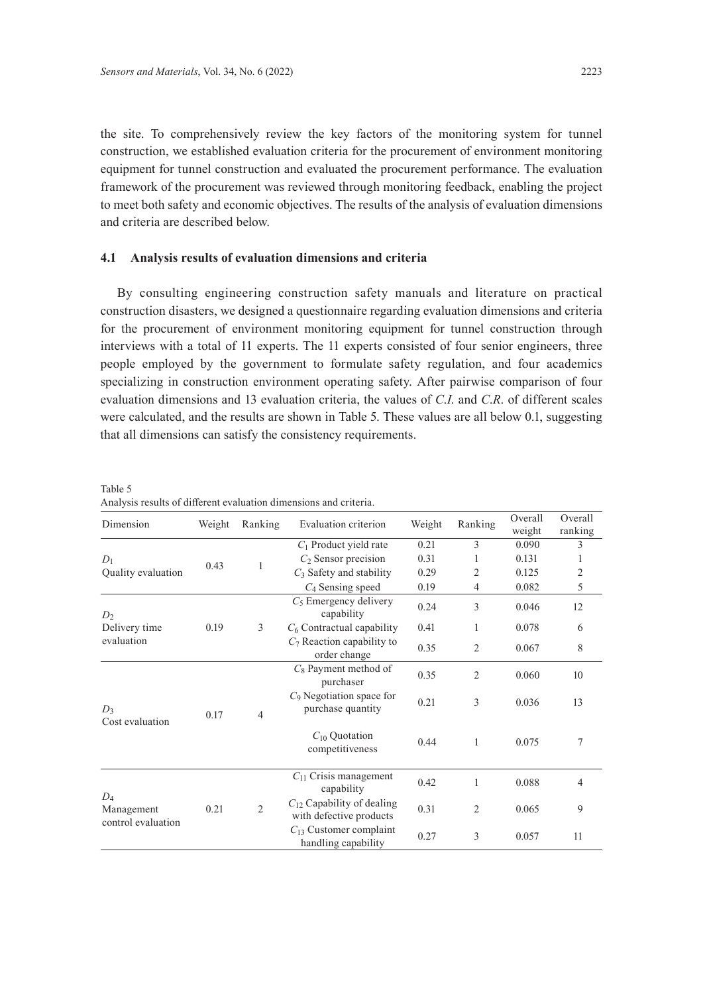the site. To comprehensively review the key factors of the monitoring system for tunnel construction, we established evaluation criteria for the procurement of environment monitoring equipment for tunnel construction and evaluated the procurement performance. The evaluation framework of the procurement was reviewed through monitoring feedback, enabling the project to meet both safety and economic objectives. The results of the analysis of evaluation dimensions and criteria are described below.

#### **4.1 Analysis results of evaluation dimensions and criteria**

By consulting engineering construction safety manuals and literature on practical construction disasters, we designed a questionnaire regarding evaluation dimensions and criteria for the procurement of environment monitoring equipment for tunnel construction through interviews with a total of 11 experts. The 11 experts consisted of four senior engineers, three people employed by the government to formulate safety regulation, and four academics specializing in construction environment operating safety. After pairwise comparison of four evaluation dimensions and 13 evaluation criteria, the values of *C*.*I*. and *C*.*R*. of different scales were calculated, and the results are shown in Table 5. These values are all below 0.1, suggesting that all dimensions can satisfy the consistency requirements.

| Dimension                                 | Weight | Ranking        | Evaluation criterion                                      | Weight | Ranking        | Overall<br>weight | Overall<br>ranking |
|-------------------------------------------|--------|----------------|-----------------------------------------------------------|--------|----------------|-------------------|--------------------|
|                                           |        |                | $C_1$ Product yield rate                                  | 0.21   | 3              | 0.090             | 3                  |
| $D_1$                                     | 0.43   | 1              | $C_2$ Sensor precision                                    | 0.31   | 1              | 0.131             | 1                  |
| Quality evaluation                        |        |                | $C_3$ Safety and stability                                | 0.29   | 2              | 0.125             | 2                  |
|                                           |        |                | $C_4$ Sensing speed                                       | 0.19   | 4              | 0.082             | 5                  |
| D <sub>2</sub>                            |        |                | $C_5$ Emergency delivery<br>capability                    | 0.24   | 3              | 0.046             | 12                 |
| Delivery time                             | 0.19   | 3              | $C_6$ Contractual capability                              | 0.41   | 1              | 0.078             | 6                  |
| evaluation                                |        |                | $C_7$ Reaction capability to<br>order change              | 0.35   | $\overline{2}$ | 0.067             | 8                  |
|                                           | 0.17   | $\overline{4}$ | $C_8$ Payment method of<br>purchaser                      | 0.35   | $\overline{2}$ | 0.060             | 10                 |
| $D_3$<br>Cost evaluation                  |        |                | $C_9$ Negotiation space for<br>purchase quantity          | 0.21   | 3              | 0.036             | 13                 |
|                                           |        |                | $C_{10}$ Quotation<br>competitiveness                     | 0.44   | 1              | 0.075             | 7                  |
|                                           |        |                | $C_{11}$ Crisis management<br>capability                  | 0.42   | 1              | 0.088             | 4                  |
| $D_4$<br>Management<br>control evaluation | 0.21   | $\overline{2}$ | $C_{12}$ Capability of dealing<br>with defective products | 0.31   | $\overline{2}$ | 0.065             | 9                  |
|                                           |        |                | $C_{13}$ Customer complaint<br>handling capability        | 0.27   | 3              | 0.057             | 11                 |

Table 5 Analysis results of different evaluation dimensions and criteria.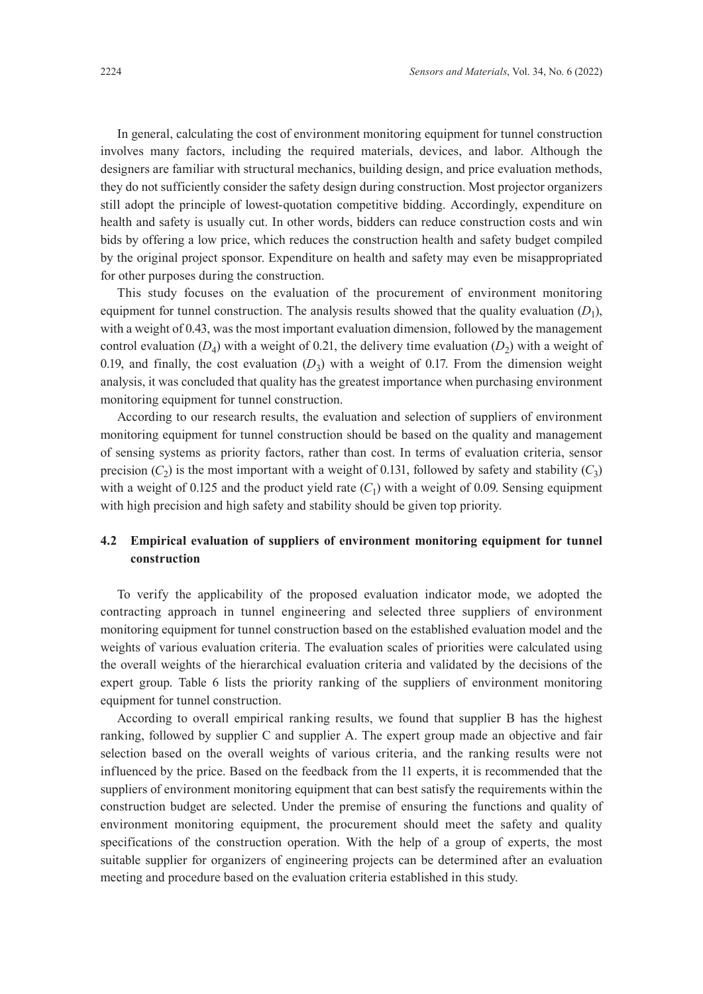In general, calculating the cost of environment monitoring equipment for tunnel construction involves many factors, including the required materials, devices, and labor. Although the designers are familiar with structural mechanics, building design, and price evaluation methods, they do not sufficiently consider the safety design during construction. Most projector organizers still adopt the principle of lowest-quotation competitive bidding. Accordingly, expenditure on health and safety is usually cut. In other words, bidders can reduce construction costs and win bids by offering a low price, which reduces the construction health and safety budget compiled by the original project sponsor. Expenditure on health and safety may even be misappropriated for other purposes during the construction.

This study focuses on the evaluation of the procurement of environment monitoring equipment for tunnel construction. The analysis results showed that the quality evaluation  $(D_1)$ , with a weight of 0.43, was the most important evaluation dimension, followed by the management control evaluation  $(D_4)$  with a weight of 0.21, the delivery time evaluation  $(D_2)$  with a weight of 0.19, and finally, the cost evaluation  $(D_3)$  with a weight of 0.17. From the dimension weight analysis, it was concluded that quality has the greatest importance when purchasing environment monitoring equipment for tunnel construction.

According to our research results, the evaluation and selection of suppliers of environment monitoring equipment for tunnel construction should be based on the quality and management of sensing systems as priority factors, rather than cost. In terms of evaluation criteria, sensor precision  $(C_2)$  is the most important with a weight of 0.131, followed by safety and stability  $(C_3)$ with a weight of 0.125 and the product yield rate  $(C_1)$  with a weight of 0.09. Sensing equipment with high precision and high safety and stability should be given top priority.

# **4.2 Empirical evaluation of suppliers of environment monitoring equipment for tunnel construction**

To verify the applicability of the proposed evaluation indicator mode, we adopted the contracting approach in tunnel engineering and selected three suppliers of environment monitoring equipment for tunnel construction based on the established evaluation model and the weights of various evaluation criteria. The evaluation scales of priorities were calculated using the overall weights of the hierarchical evaluation criteria and validated by the decisions of the expert group. Table 6 lists the priority ranking of the suppliers of environment monitoring equipment for tunnel construction.

According to overall empirical ranking results, we found that supplier B has the highest ranking, followed by supplier C and supplier A. The expert group made an objective and fair selection based on the overall weights of various criteria, and the ranking results were not influenced by the price. Based on the feedback from the 11 experts, it is recommended that the suppliers of environment monitoring equipment that can best satisfy the requirements within the construction budget are selected. Under the premise of ensuring the functions and quality of environment monitoring equipment, the procurement should meet the safety and quality specifications of the construction operation. With the help of a group of experts, the most suitable supplier for organizers of engineering projects can be determined after an evaluation meeting and procedure based on the evaluation criteria established in this study.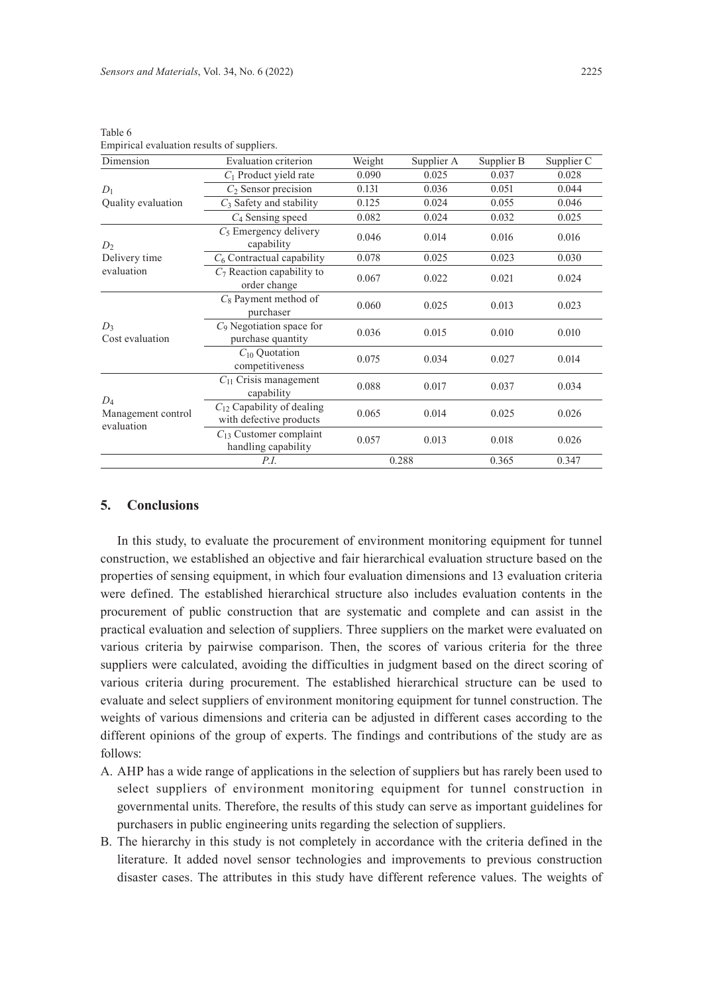| Evaluation criterion                                      | Weight                                                                                                     | Supplier A | Supplier B | Supplier C |
|-----------------------------------------------------------|------------------------------------------------------------------------------------------------------------|------------|------------|------------|
| $C_1$ Product yield rate                                  | 0.090                                                                                                      | 0.025      | 0.037      | 0.028      |
| $C_2$ Sensor precision                                    | 0.131                                                                                                      | 0.036      | 0.051      | 0.044      |
| $C_3$ Safety and stability                                | 0.125                                                                                                      | 0.024      | 0.055      | 0.046      |
| $C_4$ Sensing speed                                       | 0.082                                                                                                      | 0.024      | 0.032      | 0.025      |
| $C_5$ Emergency delivery<br>capability                    | 0.046                                                                                                      | 0.014      | 0.016      | 0.016      |
| $C_6$ Contractual capability                              | 0.078                                                                                                      | 0.025      | 0.023      | 0.030      |
| $C_7$ Reaction capability to<br>order change              | 0.067                                                                                                      | 0.022      | 0.021      | 0.024      |
| $C_8$ Payment method of<br>purchaser                      | 0.060                                                                                                      | 0.025      | 0.013      | 0.023      |
| $C_9$ Negotiation space for<br>purchase quantity          | 0.036                                                                                                      | 0.015      | 0.010      | 0.010      |
| $C_{10}$ Quotation<br>competitiveness                     | 0.075<br>0.034<br>0.088<br>0.017<br>capability<br>0.065<br>0.014<br>0.057<br>0.013<br>0.288<br><i>P.I.</i> | 0.027      | 0.014      |            |
| $C_{11}$ Crisis management                                |                                                                                                            |            | 0.037      | 0.034      |
| $C_{12}$ Capability of dealing<br>with defective products |                                                                                                            |            | 0.025      | 0.026      |
| $C_{13}$ Customer complaint<br>handling capability        |                                                                                                            |            | 0.018      | 0.026      |
|                                                           |                                                                                                            |            | 0.365      | 0.347      |
|                                                           |                                                                                                            |            |            |            |

Table 6 Empirical evaluation results of suppliers.

#### **5. Conclusions**

In this study, to evaluate the procurement of environment monitoring equipment for tunnel construction, we established an objective and fair hierarchical evaluation structure based on the properties of sensing equipment, in which four evaluation dimensions and 13 evaluation criteria were defined. The established hierarchical structure also includes evaluation contents in the procurement of public construction that are systematic and complete and can assist in the practical evaluation and selection of suppliers. Three suppliers on the market were evaluated on various criteria by pairwise comparison. Then, the scores of various criteria for the three suppliers were calculated, avoiding the difficulties in judgment based on the direct scoring of various criteria during procurement. The established hierarchical structure can be used to evaluate and select suppliers of environment monitoring equipment for tunnel construction. The weights of various dimensions and criteria can be adjusted in different cases according to the different opinions of the group of experts. The findings and contributions of the study are as follows:

- A. AHP has a wide range of applications in the selection of suppliers but has rarely been used to select suppliers of environment monitoring equipment for tunnel construction in governmental units. Therefore, the results of this study can serve as important guidelines for purchasers in public engineering units regarding the selection of suppliers.
- B. The hierarchy in this study is not completely in accordance with the criteria defined in the literature. It added novel sensor technologies and improvements to previous construction disaster cases. The attributes in this study have different reference values. The weights of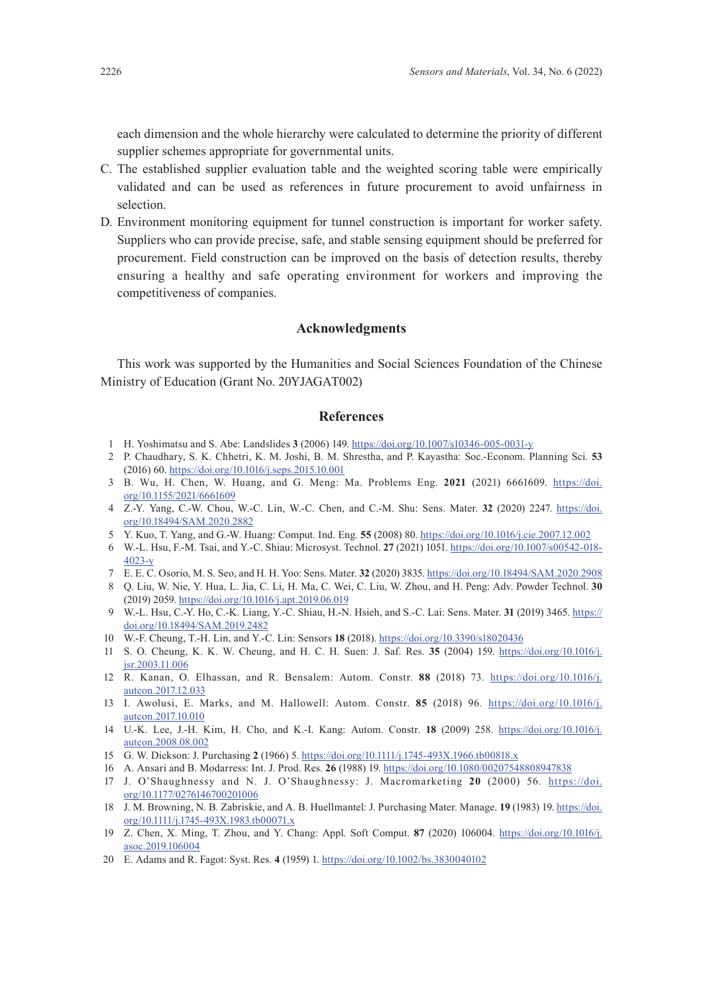each dimension and the whole hierarchy were calculated to determine the priority of different supplier schemes appropriate for governmental units.

- C. The established supplier evaluation table and the weighted scoring table were empirically validated and can be used as references in future procurement to avoid unfairness in selection.
- D. Environment monitoring equipment for tunnel construction is important for worker safety. Suppliers who can provide precise, safe, and stable sensing equipment should be preferred for procurement. Field construction can be improved on the basis of detection results, thereby ensuring a healthy and safe operating environment for workers and improving the competitiveness of companies.

# **Acknowledgments**

This work was supported by the Humanities and Social Sciences Foundation of the Chinese Ministry of Education (Grant No. 20YJAGAT002)

#### **References**

- 1 H. Yoshimatsu and S. Abe: Landslides **3** (2006) 149.<https://doi.org/10.1007/s10346-005-0031-y>
- 2 P. Chaudhary, S. K. Chhetri, K. M. Joshi, B. M. Shrestha, and P. Kayastha: Soc.-Econom. Planning Sci. **53** (2016) 60. <https://doi.org/10.1016/j.seps.2015.10.001>
- 3 B. Wu, H. Chen, W. Huang, and G. Meng: Ma. Problems Eng. **2021** (2021) 6661609. [https://doi.](https://doi.org/10.1155/2021/6661609) [org/10.1155/2021/6661609](https://doi.org/10.1155/2021/6661609)
- 4 Z.-Y. Yang, C.-W. Chou, W.-C. Lin, W.-C. Chen, and C.-M. Shu: Sens. Mater. **32** (2020) 2247. [https://doi.](https://doi.org/10.18494/SAM.2020.2882) [org/10.18494/SAM.2020.2882](https://doi.org/10.18494/SAM.2020.2882)
- 5 Y. Kuo, T. Yang, and G.-W. Huang: Comput. Ind. Eng. **55** (2008) 80.<https://doi.org/10.1016/j.cie.2007.12.002>
- 6 W.-L. Hsu, F.-M. Tsai, and Y.-C. Shiau: Microsyst. Technol. **27** (2021) 1051. [https://doi.org/10.1007/s00542-018-](https://doi.org/10.1007/s00542-018-4023-y) [4023-y](https://doi.org/10.1007/s00542-018-4023-y)
- 7 E. E. C. Osorio, M. S. Seo, and H. H. Yoo: Sens. Mater. **32** (2020) 3835.<https://doi.org/10.18494/SAM.2020.2908>
- 8 Q. Liu, W. Nie, Y. Hua, L. Jia, C. Li, H. Ma, C. Wei, C. Liu, W. Zhou, and H. Peng: Adv. Powder Technol. **30** (2019) 2059. <https://doi.org/10.1016/j.apt.2019.06.019>
- 9 W.-L. Hsu, C.-Y. Ho, C.-K. Liang, Y.-C. Shiau, H.-N. Hsieh, and S.-C. Lai: Sens. Mater. **31** (2019) 3465. [https://](https://doi.org/10.18494/SAM.2019.2482) [doi.org/10.18494/SAM.2019.2482](https://doi.org/10.18494/SAM.2019.2482)
- 10 W.-F. Cheung, T.-H. Lin, and Y.-C. Lin: Sensors **18** (2018).<https://doi.org/10.3390/s18020436>
- 11 S. O. Cheung, K. K. W. Cheung, and H. C. H. Suen: J. Saf. Res. **35** (2004) 159. [https://doi.org/10.1016/j.](https://doi.org/10.1016/j.jsr.2003.11.006) [jsr.2003.11.006](https://doi.org/10.1016/j.jsr.2003.11.006)
- 12 R. Kanan, O. Elhassan, and R. Bensalem: Autom. Constr. **88** (2018) 73. [https://doi.org/10.1016/j.](https://doi.org/10.1016/j.autcon.2017.12.033) [autcon.2017.12.033](https://doi.org/10.1016/j.autcon.2017.12.033)
- 13 I. Awolusi, E. Marks, and M. Hallowell: Autom. Constr. **85** (2018) 96. [https://doi.org/10.1016/j.](https://doi.org/10.1016/j.autcon.2017.10.010) [autcon.2017.10.010](https://doi.org/10.1016/j.autcon.2017.10.010)
- 14 U.-K. Lee, J.-H. Kim, H. Cho, and K.-I. Kang: Autom. Constr. **18** (2009) 258. [https://doi.org/10.1016/j.](https://doi.org/10.1016/j.autcon.2008.08.002) [autcon.2008.08.002](https://doi.org/10.1016/j.autcon.2008.08.002)
- 15 G. W. Dickson: J. Purchasing **2** (1966) 5. <https://doi.org/10.1111/j.1745-493X.1966.tb00818.x>
- 16 A. Ansari and B. Modarress: Int. J. Prod. Res. **26** (1988) 19. <https://doi.org/10.1080/00207548808947838>
- 17 J. O'Shaughnessy and N. J. O'Shaughnessy: J. Macromarketing **20** (2000) 56. [https://doi.](https://doi.org/10.1177/0276146700201006) [org/10.1177/0276146700201006](https://doi.org/10.1177/0276146700201006)
- 18 J. M. Browning, N. B. Zabriskie, and A. B. Huellmantel: J. Purchasing Mater. Manage. 19 (1983) 19. [https://doi.](https://doi.org/10.1111/j.1745-493X.1983.tb00071.x) [org/10.1111/j.1745-493X.1983.tb00071.x](https://doi.org/10.1111/j.1745-493X.1983.tb00071.x)
- 19 Z. Chen, X. Ming, T. Zhou, and Y. Chang: Appl. Soft Comput. **87** (2020) 106004. [https://doi.org/10.1016/j.](https://doi.org/10.1016/j.asoc.2019.106004) [asoc.2019.106004](https://doi.org/10.1016/j.asoc.2019.106004)
- 20 E. Adams and R. Fagot: Syst. Res. **4** (1959) 1. <https://doi.org/10.1002/bs.3830040102>